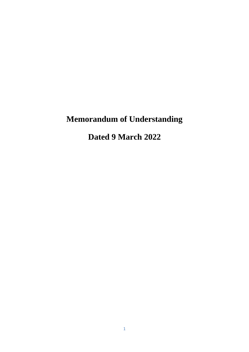# **Memorandum of Understanding**

**Dated 9 March 2022**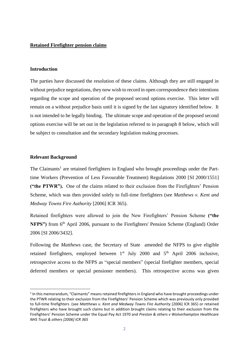#### **Retained Firefighter pension claims**

#### **Introduction**

The parties have discussed the resolution of these claims. Although they are still engaged in without prejudice negotiations, they now wish to record in open correspondence their intentions regarding the scope and operation of the proposed second options exercise. This letter will remain on a without prejudice basis until it is signed by the last signatory identified below. It is not intended to be legally binding. The ultimate scope and operation of the proposed second options exercise will be set out in the legislation referred to in paragraph 8 below, which will be subject to consultation and the secondary legislation making processes.

#### **Relevant Background**

**.** 

The Claimants<sup>1</sup> are retained firefighters in England who brought proceedings under the Parttime Workers (Prevention of Less Favourable Treatment) Regulations 2000 [SI 2000/1551] **("the PTWR").** One of the claims related to their exclusion from the Firefighters' Pension Scheme, which was then provided solely to full-time firefighters (see *Matthews v. Kent and Medway Towns Fire Authority* [2006] ICR 365).

Retained firefighters were allowed to join the New Firefighters' Pension Scheme **("the NFPS"**) from 6<sup>th</sup> April 2006, pursuant to the Firefighters' Pension Scheme (England) Order 2006 [SI 2006/3432].

Following the *Matthews* case, the Secretary of State amended the NFPS to give eligible retained firefighters, employed between  $1<sup>st</sup>$  July 2000 and  $5<sup>th</sup>$  April 2006 inclusive, retrospective access to the NFPS as "special members" (special firefighter members, special deferred members or special pensioner members). This retrospective access was given

<sup>&</sup>lt;sup>1</sup> In this memorandum, "Claimants" means retained firefighters in England who have brought proceedings under the PTWR relating to their exclusion from the Firefighters' Pension Scheme which was previously only provided to full-time firefighters (see *Matthews v. Kent and Medway Towns Fire Authority* [2006] ICR 365) or retained firefighters who have brought such claims but in addition brought claims relating to their exclusion from the Firefighters' Pension Scheme under the Equal Pay Act 1970 and *Preston & others v Wolverhampton Healthcare NHS Trust & others [2006] ICR 365*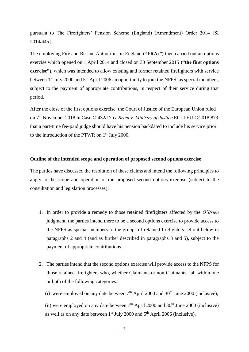pursuant to The Firefighters' Pension Scheme (England) (Amendment) Order 2014 [SI 2014/445].

The employing Fire and Rescue Authorities in England **("FRAs")** then carried out an options exercise which opened on 1 April 2014 and closed on 30 September 2015 **("the first options exercise")**, which was intended to allow existing and former retained firefighters with service between  $1<sup>st</sup>$  July 2000 and  $5<sup>th</sup>$  April 2006 an opportunity to join the NFPS, as special members, subject to the payment of appropriate contributions, in respect of their service during that period.

After the close of the first options exercise, the Court of Justice of the European Union ruled on 7th November 2018 in Case C-432/17 *O'Brien v. Ministry of Justice* ECLI:EU:C:2018:879 that a part-time fee-paid judge should have his pension backdated to include his service prior to the introduction of the PTWR on 1st July 2000*.*

#### **Outline of the intended scope and operation of proposed second options exercise**

The parties have discussed the resolution of these claims and intend the following principles to apply to the scope and operation of the proposed second options exercise (subject to the consultation and legislation processes):

- 1. In order to provide a remedy to those retained firefighters affected by the *O'Brien*  judgment, the parties intend there to be a second options exercise to provide access to the NFPS as special members to the groups of retained firefighters set out below in paragraphs 2 and 4 (and as further described in paragraphs 3 and 5), subject to the payment of appropriate contributions.
- 2. The parties intend that the second options exercise will provide access to the NFPS for those retained firefighters who, whether Claimants or non-Claimants, fall within one or both of the following categories:
	- (i) were employed on any date between  $7<sup>th</sup>$  April 2000 and 30<sup>th</sup> June 2000 (inclusive);

(ii) were employed on any date between  $7<sup>th</sup>$  April 2000 and 30<sup>th</sup> June 2000 (inclusive) as well as on any date between  $1<sup>st</sup>$  July 2000 and  $5<sup>th</sup>$  April 2006 (inclusive).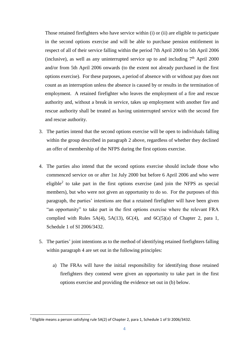Those retained firefighters who have service within (i) or (ii) are eligible to participate in the second options exercise and will be able to purchase pension entitlement in respect of all of their service falling within the period 7th April 2000 to 5th April 2006 (inclusive), as well as any uninterrupted service up to and including  $7<sup>th</sup>$  April 2000 and/or from 5th April 2006 onwards (to the extent not already purchased in the first options exercise). For these purposes, a period of absence with or without pay does not count as an interruption unless the absence is caused by or results in the termination of employment. A retained firefighter who leaves the employment of a fire and rescue authority and, without a break in service, takes up employment with another fire and rescue authority shall be treated as having uninterrupted service with the second fire and rescue authority.

- 3. The parties intend that the second options exercise will be open to individuals falling within the group described in paragraph 2 above, regardless of whether they declined an offer of membership of the NFPS during the first options exercise.
- 4. The parties also intend that the second options exercise should include those who commenced service on or after 1st July 2000 but before 6 April 2006 and who were eligible<sup>2</sup> to take part in the first options exercise (and join the NFPS as special members), but who were not given an opportunity to do so. For the purposes of this paragraph, the parties' intentions are that a retained firefighter will have been given "an opportunity" to take part in the first options exercise where the relevant FRA complied with Rules 5A(4), 5A(13),  $6C(4)$ , and  $6C(5)(a)$  of Chapter 2, para 1, Schedule 1 of SI 2006/3432.
- 5. The parties' joint intentions as to the method of identifying retained firefighters falling within paragraph 4 are set out in the following principles:
	- a) The FRAs will have the initial responsibility for identifying those retained firefighters they contend were given an opportunity to take part in the first options exercise and providing the evidence set out in (b) below.

**.** 

<sup>2</sup> Eligible means a person satisfying rule 5A(2) of Chapter 2, para 1, Schedule 1 of SI 2006/3432.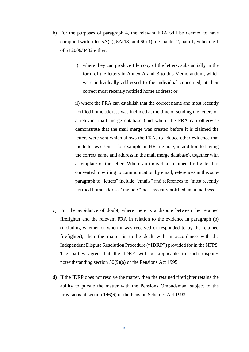- b) For the purposes of paragraph 4, the relevant FRA will be deemed to have complied with rules 5A(4), 5A(13) and 6C(4) of Chapter 2, para 1, Schedule 1 of SI 2006/3432 either:
	- i) where they can produce file copy of the letters**,** substantially in the form of the letters in Annex A and B to this Memorandum, which were individually addressed to the individual concerned, at their correct most recently notified home address; or

ii) where the FRA can establish that the correct name and most recently notified home address was included at the time of sending the letters on a relevant mail merge database (and where the FRA can otherwise demonstrate that the mail merge was created before it is claimed the letters were sent which allows the FRAs to adduce other evidence that the letter was sent – for example an HR file note, in addition to having the correct name and address in the mail merge database), together with a template of the letter. Where an individual retained firefighter has consented in writing to communication by email, references in this subparagraph to "letters" include "emails" and references to "most recently notified home address" include "most recently notified email address".

- c) For the avoidance of doubt, where there is a dispute between the retained firefighter and the relevant FRA in relation to the evidence in paragraph (b) (including whether or when it was received or responded to by the retained firefighter), then the matter is to be dealt with in accordance with the Independent Dispute Resolution Procedure (**"IDRP"**) provided for in the NFPS. The parties agree that the IDRP will be applicable to such disputes notwithstanding section 50(9)(a) of the Pensions Act 1995.
- d) If the IDRP does not resolve the matter, then the retained firefighter retains the ability to pursue the matter with the Pensions Ombudsman, subject to the provisions of section 146(6) of the Pension Schemes Act 1993.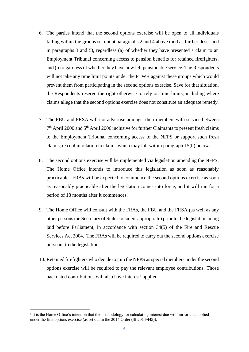- 6. The parties intend that the second options exercise will be open to all individuals falling within the groups set out at paragraphs 2 and 4 above (and as further described in paragraphs 3 and 5), regardless (a) of whether they have presented a claim to an Employment Tribunal concerning access to pension benefits for retained firefighters, and (b) regardless of whether they have now left pensionable service. The Respondents will not take any time limit points under the PTWR against these groups which would prevent them from participating in the second options exercise. Save for that situation, the Respondents reserve the right otherwise to rely on time limits, including where claims allege that the second options exercise does not constitute an adequate remedy.
- 7. The FBU and FRSA will not advertise amongst their members with service between 7<sup>th</sup> April 2000 and 5<sup>th</sup> April 2006 inclusive for further Claimants to present fresh claims to the Employment Tribunal concerning access to the NFPS or support such fresh claims, except in relation to claims which may fall within paragraph 15(b) below.
- 8. The second options exercise will be implemented via legislation amending the NFPS. The Home Office intends to introduce this legislation as soon as reasonably practicable. FRAs will be expected to commence the second options exercise as soon as reasonably practicable after the legislation comes into force, and it will run for a period of 18 months after it commences.
- 9. The Home Office will consult with the FRAs, the FBU and the FRSA (as well as any other persons the Secretary of State considers appropriate) prior to the legislation being laid before Parliament, in accordance with section 34(5) of the Fire and Rescue Services Act 2004. The FRAs will be required to carry out the second options exercise pursuant to the legislation.
- 10. Retained firefighters who decide to join the NFPS as special members under the second options exercise will be required to pay the relevant employee contributions. Those backdated contributions will also have interest<sup>3</sup> applied.

1

<sup>&</sup>lt;sup>3</sup> It is the Home Office's intention that the methodology for calculating interest due will mirror that applied under the first options exercise (as set out in the 2014 Order (SI 2014/445)).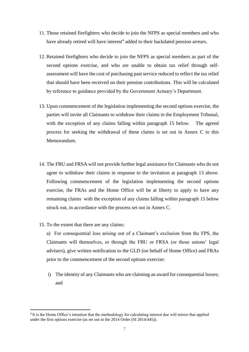- 11. Those retained firefighters who decide to join the NFPS as special members and who have already retired will have interest<sup>4</sup> added to their backdated pension arrears.
- 12. Retained firefighters who decide to join the NFPS as special members as part of the second options exercise, and who are unable to obtain tax relief through selfassessment will have the cost of purchasing past service reduced to reflect the tax relief that should have been received on their pension contributions. This will be calculated by reference to guidance provided by the Government Actuary's Department.
- 13. Upon commencement of the legislation implementing the second options exercise, the parties will invite all Claimants to withdraw their claims in the Employment Tribunal, with the exception of any claims falling within paragraph 15 below. The agreed process for seeking the withdrawal of these claims is set out in Annex C to this Memorandum.
- 14. The FBU and FRSA will not provide further legal assistance for Claimants who do not agree to withdraw their claims in response to the invitation at paragraph 13 above. Following commencement of the legislation implementing the second options exercise, the FRAs and the Home Office will be at liberty to apply to have any remaining claims with the exception of any claims falling within paragraph 15 below struck out, in accordance with the process set out in Annex C.
- 15. To the extent that there are any claims:

1

a) For consequential loss arising out of a Claimant's exclusion from the FPS, the Claimants will themselves, or through the FBU or FRSA (or those unions' legal advisers), give written notification to the GLD (on behalf of Home Office) and FRAs prior to the commencement of the second options exercise:

i) The identity of any Claimants who are claiming an award for consequential losses; and

<sup>4</sup> It is the Home Office's intention that the methodology for calculating interest due will mirror that applied under the first options exercise (as set out in the 2014 Order (SI 2014/445)).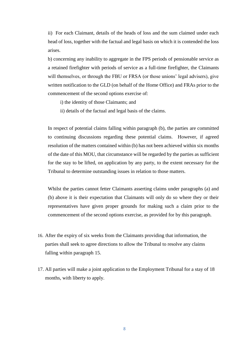ii) For each Claimant, details of the heads of loss and the sum claimed under each head of loss, together with the factual and legal basis on which it is contended the loss arises.

b) concerning any inability to aggregate in the FPS periods of pensionable service as a retained firefighter with periods of service as a full-time firefighter, the Claimants will themselves, or through the FBU or FRSA (or those unions' legal advisers), give written notification to the GLD (on behalf of the Home Office) and FRAs prior to the commencement of the second options exercise of:

i) the identity of those Claimants; and

ii) details of the factual and legal basis of the claims.

In respect of potential claims falling within paragraph (b), the parties are committed to continuing discussions regarding these potential claims. However, if agreed resolution of the matters contained within (b) has not been achieved within six months of the date of this MOU, that circumstance will be regarded by the parties as sufficient for the stay to be lifted, on application by any party, to the extent necessary for the Tribunal to determine outstanding issues in relation to those matters.

Whilst the parties cannot fetter Claimants asserting claims under paragraphs (a) and (b) above it is their expectation that Claimants will only do so where they or their representatives have given proper grounds for making such a claim prior to the commencement of the second options exercise, as provided for by this paragraph.

- 16. After the expiry of six weeks from the Claimants providing that information, the parties shall seek to agree directions to allow the Tribunal to resolve any claims falling within paragraph 15.
- 17. All parties will make a joint application to the Employment Tribunal for a stay of 18 months, with liberty to apply.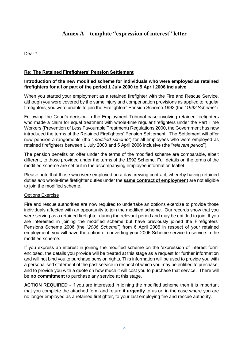# **Annex A – template "expression of interest" letter**

Dear \*

# **Re: The Retained Firefighters' Pension Settlement**

### **Introduction of the new modified scheme for individuals who were employed as retained firefighters for all or part of the period 1 July 2000 to 5 April 2006 inclusive**

When you started your employment as a retained firefighter with the Fire and Rescue Service, although you were covered by the same injury and compensation provisions as applied to regular firefighters, you were unable to join the Firefighters' Pension Scheme 1992 (the "*1992 Scheme*").

Following the Court's decision in the Employment Tribunal case involving retained firefighters who made a claim for equal treatment with whole-time regular firefighters under the Part Time Workers (Prevention of Less Favourable Treatment) Regulations 2000, the Government has now introduced the terms of the Retained Firefighters' Pension Settlement. The Settlement will offer new pension arrangements (the "*modified scheme"*) for all employees who were employed as retained firefighters between 1 July 2000 and 5 April 2006 inclusive (the "*relevant period*").

The pension benefits on offer under the terms of the modified scheme are comparable, albeit different, to those provided under the terms of the 1992 Scheme. Full details on the terms of the modified scheme are set out in the accompanying employee information leaflet.

Please note that those who were employed on a day crewing contract, whereby having retained duties *and* whole-time firefighter duties under the **same contract of employment** are not eligible to join the modified scheme.

#### Options Exercise

Fire and rescue authorities are now required to undertake an options exercise to provide those individuals affected with an opportunity to join the modified scheme. Our records show that you were serving as a retained firefighter during the relevant period and may be entitled to join. If you are interested in joining the modified scheme but have previously joined the Firefighters' Pensions Scheme 2006 (the "*2006 Scheme*") from 6 April 2006 in respect of your retained employment, you will have the option of converting your 2006 Scheme service to service in the modified scheme.

If you express an interest in joining the modified scheme on the 'expression of interest form' enclosed, the details you provide will be treated at this stage as a request for further information and will not bind you to purchase pension rights. This information will be used to provide you with a personalised statement of the past service in respect of which you may be entitled to purchase, and to provide you with a quote on how much it will cost you to purchase that service. There will be **no commitment** to purchase any service at this stage.

**ACTION REQUIRED** - If you are interested in joining the modified scheme then it is important that you complete the attached form and return it **urgently** to us or, in the case where you are no longer employed as a retained firefighter, to your last employing fire and rescue authority.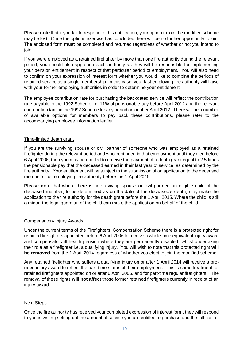**Please note** that if you fail to respond to this notification, your option to join the modified scheme may be lost. Once the options exercise has concluded there will be no further opportunity to join. The enclosed form **must** be completed and returned regardless of whether or not you intend to join.

If you were employed as a retained firefighter by more than one fire authority during the relevant period, you should also approach each authority as they will be responsible for implementing your pension entitlement in respect of that particular period of employment. You will also need to confirm on your expression of interest form whether you would like to combine the periods of retained service as a single membership. In this case, your last employing fire authority will liaise with your former employing authorities in order to determine your entitlement.

The employee contribution rate for purchasing the backdated service will reflect the contribution rate payable in the 1992 Scheme i.e. 11% of pensionable pay before April 2012 and the relevant contribution tariff in the 1992 Scheme for any period on or after April 2012. There will be a number of available options for members to pay back these contributions, please refer to the accompanying employee information leaflet.

### Time-limited death grant

If you are the surviving spouse or civil partner of someone who was employed as a retained firefighter during the relevant period and who continued in that employment until they died before 6 April 2006, then you may be entitled to receive the payment of a death grant equal to 2.5 times the pensionable pay that the deceased earned in their last year of service, as determined by the fire authority. Your entitlement will be subject to the submission of an application to the deceased member's last employing fire authority before the 1 April 2015.

**Please note** that where there is no surviving spouse or civil partner, an eligible child of the deceased member, to be determined as on the date of the deceased's death, may make the application to the fire authority for the death grant before the 1 April 2015. Where the child is still a minor, the legal guardian of the child can make the application on behalf of the child.

#### Compensatory Injury Awards

Under the current terms of the Firefighters' Compensation Scheme there is a protected right for retained firefighters appointed before 6 April 2006 to receive a whole-time equivalent injury award and compensatory ill-health pension where they are permanently disabled whilst undertaking their role as a firefighter i.e. a qualifying injury. You will wish to note that this protected right **will be removed** from the 1 April 2014 regardless of whether you elect to join the modified scheme.

Any retained firefighter who suffers a qualifying injury on or after 1 April 2014 will receive a prorated injury award to reflect the part-time status of their employment. This is same treatment for retained firefighters appointed on or after 6 April 2006, and for part-time regular firefighters. The removal of these rights **will not affect** those former retained firefighters currently in receipt of an injury award.

# Next Steps

Once the fire authority has received your completed expression of interest form, they will respond to you in writing setting out the amount of service you are entitled to purchase and the full cost of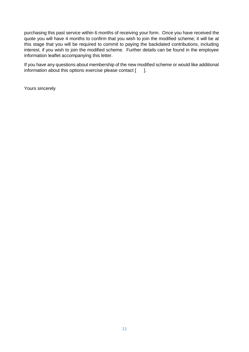purchasing this past service within 6 months of receiving your form. Once you have received the quote you will have 4 months to confirm that you wish to join the modified scheme; it will be at this stage that you will be required to commit to paying the backdated contributions, including interest, if you wish to join the modified scheme. Further details can be found in the employee information leaflet accompanying this letter.

If you have any questions about membership of the new modified scheme or would like additional information about this options exercise please contact [ ].

Yours sincerely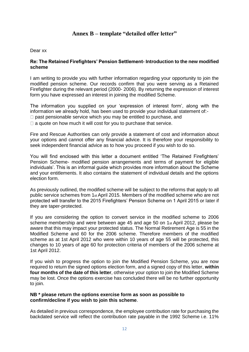# **Annex B – template "detailed offer letter"**

#### Dear xx

#### **Re: The Retained Firefighters' Pension Settlement- Introduction to the new modified scheme**

I am writing to provide you with further information regarding your opportunity to join the modified pension scheme. Our records confirm that you were serving as a Retained Firefighter during the relevant period (2000- 2006). By returning the expression of interest form you have expressed an interest in joining the modified Scheme.

The information you supplied on your 'expression of interest form', along with the information we already hold, has been used to provide your individual statement of:-

- $\Box$  past pensionable service which you may be entitled to purchase, and
- $\Box$  a quote on how much it will cost for you to purchase that service.

Fire and Rescue Authorities can only provide a statement of cost and information about your options and cannot offer any financial advice. It is therefore your responsibility to seek independent financial advice as to how you proceed if you wish to do so.

You will find enclosed with this letter a document entitled 'The Retained Firefighters' Pension Scheme- modified pension arrangements and terms of payment for eligible individuals'. This is an informal guide which provides more information about the Scheme and your entitlements. It also contains the statement of individual details and the options election form.

As previously outlined, the modified scheme will be subject to the reforms that apply to all public service schemes from 1st April 2015. Members of the modified scheme who are not protected will transfer to the 2015 Firefighters' Pension Scheme on 1 April 2015 or later if they are taper-protected.

If you are considering the option to convert service in the modified scheme to 2006 scheme membership and were between age 45 and age 50 on 1st April 2012, please be aware that this may impact your protected status. The Normal Retirement Age is 55 in the Modified Scheme and 60 for the 2006 scheme. Therefore members of the modified scheme as at 1st April 2012 who were within 10 years of age 55 will be protected, this changes to 10 years of age 60 for protection criteria of members of the 2006 scheme at 1st April 2012.

If you wish to progress the option to join the Modified Pension Scheme, you are now required to return the signed options election form, and a signed copy of this letter, **within four months of the date of this letter**, otherwise your option to join the Modified Scheme may be lost. Once the options exercise has concluded there will be no further opportunity to join.

#### **NB \* please return the options exercise form as soon as possible to confirm/decline if you wish to join this scheme**.

As detailed in previous correspondence, the employee contribution rate for purchasing the backdated service will reflect the contribution rate payable in the 1992 Scheme i.e. 11%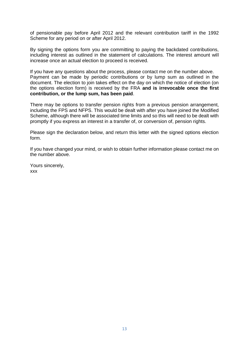of pensionable pay before April 2012 and the relevant contribution tariff in the 1992 Scheme for any period on or after April 2012.

By signing the options form you are committing to paying the backdated contributions, including interest as outlined in the statement of calculations. The interest amount will increase once an actual election to proceed is received.

If you have any questions about the process, please contact me on the number above. Payment can be made by periodic contributions or by lump sum as outlined in the document. The election to join takes effect on the day on which the notice of election (on the options election form) is received by the FRA **and is irrevocable once the first contribution, or the lump sum, has been paid**.

There may be options to transfer pension rights from a previous pension arrangement, including the FPS and NFPS. This would be dealt with after you have joined the Modified Scheme, although there will be associated time limits and so this will need to be dealt with promptly if you express an interest in a transfer of, or conversion of, pension rights.

Please sign the declaration below, and return this letter with the signed options election form.

If you have changed your mind, or wish to obtain further information please contact me on the number above.

Yours sincerely, xxx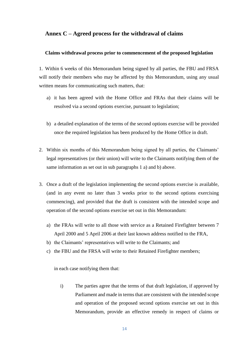# **Annex C – Agreed process for the withdrawal of claims**

#### **Claims withdrawal process prior to commencement of the proposed legislation**

1. Within 6 weeks of this Memorandum being signed by all parties, the FBU and FRSA will notify their members who may be affected by this Memorandum, using any usual written means for communicating such matters, that:

- a) it has been agreed with the Home Office and FRAs that their claims will be resolved via a second options exercise, pursuant to legislation;
- b) a detailed explanation of the terms of the second options exercise will be provided once the required legislation has been produced by the Home Office in draft.
- 2. Within six months of this Memorandum being signed by all parties, the Claimants' legal representatives (or their union) will write to the Claimants notifying them of the same information as set out in sub paragraphs 1 a) and b) above.
- 3. Once a draft of the legislation implementing the second options exercise is available, (and in any event no later than 3 weeks prior to the second options exercising commencing), and provided that the draft is consistent with the intended scope and operation of the second options exercise set out in this Memorandum:
	- a) the FRAs will write to all those with service as a Retained Firefighter between 7 April 2000 and 5 April 2006 at their last known address notified to the FRA,
	- b) the Claimants' representatives will write to the Claimants; and
	- c) the FBU and the FRSA will write to their Retained Firefighter members;

in each case notifying them that:

i) The parties agree that the terms of that draft legislation, if approved by Parliament and made in terms that are consistent with the intended scope and operation of the proposed second options exercise set out in this Memorandum, provide an effective remedy in respect of claims or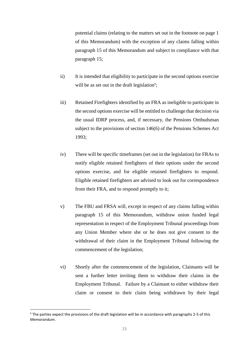potential claims (relating to the matters set out in the footnote on page 1 of this Memorandum) with the exception of any claims falling within paragraph 15 of this Memorandum and subject to compliance with that paragraph 15;

- ii) It is intended that eligibility to participate in the second options exercise will be as set out in the draft legislation<sup>5</sup>;
- iii) Retained Firefighters identified by an FRA as ineligible to participate in the second options exercise will be entitled to challenge that decision via the usual IDRP process, and, if necessary, the Pensions Ombudsman subject to the provisions of section 146(6) of the Pensions Schemes Act 1993;
- iv) There will be specific timeframes (set out in the legislation) for FRAs to notify eligible retained firefighters of their options under the second options exercise, and for eligible retained firefighters to respond. Eligible retained firefighters are advised to look out for correspondence from their FRA, and to respond promptly to it;
- v) The FBU and FRSA will, except in respect of any claims falling within paragraph 15 of this Memorandum, withdraw union funded legal representation in respect of the Employment Tribunal proceedings from any Union Member where she or he does not give consent to the withdrawal of their claim in the Employment Tribunal following the commencement of the legislation;
- vi) Shortly after the commencement of the legislation, Claimants will be sent a further letter inviting them to withdraw their claims in the Employment Tribunal. Failure by a Claimant to either withdraw their claim or consent to their claim being withdrawn by their legal

 $\overline{a}$ <sup>5</sup> The parties expect the provisions of the draft legislation will be in accordance with paragraphs 2-5 of this Memorandum.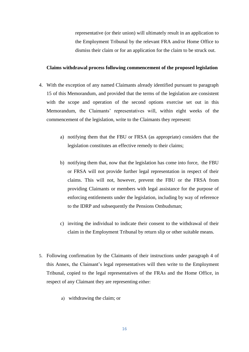representative (or their union) will ultimately result in an application to the Employment Tribunal by the relevant FRA and/or Home Office to dismiss their claim or for an application for the claim to be struck out.

#### **Claims withdrawal process following commencement of the proposed legislation**

- 4. With the exception of any named Claimants already identified pursuant to paragraph 15 of this Memorandum, and provided that the terms of the legislation are consistent with the scope and operation of the second options exercise set out in this Memorandum, the Claimants' representatives will, within eight weeks of the commencement of the legislation, write to the Claimants they represent:
	- a) notifying them that the FBU or FRSA (as appropriate) considers that the legislation constitutes an effective remedy to their claims;
	- b) notifying them that, now that the legislation has come into force, the FBU or FRSA will not provide further legal representation in respect of their claims. This will not, however, prevent the FBU or the FRSA from providing Claimants or members with legal assistance for the purpose of enforcing entitlements under the legislation, including by way of reference to the IDRP and subsequently the Pensions Ombudsman;
	- c) inviting the individual to indicate their consent to the withdrawal of their claim in the Employment Tribunal by return slip or other suitable means.
- 5. Following confirmation by the Claimants of their instructions under paragraph 4 of this Annex, the Claimant's legal representatives will then write to the Employment Tribunal, copied to the legal representatives of the FRAs and the Home Office, in respect of any Claimant they are representing either:
	- a) withdrawing the claim; or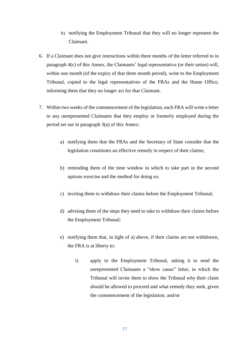- b) notifying the Employment Tribunal that they will no longer represent the Claimant.
- 6. If a Claimant does not give instructions within three months of the letter referred to in paragraph 4(c) of this Annex, the Claimants' legal representative (or their union) will, within one month (of the expiry of that three month period), write to the Employment Tribunal, copied to the legal representatives of the FRAs and the Home Office, informing them that they no longer act for that Claimant.
- 7. Within two weeks of the commencement of the legislation, each FRA will write a letter to any unrepresented Claimants that they employ or formerly employed during the period set out in paragraph 3(a) of this Annex:
	- a) notifying them that the FRAs and the Secretary of State consider that the legislation constitutes an effective remedy in respect of their claims;
	- b) reminding them of the time window in which to take part in the second options exercise and the method for doing so;
	- c) inviting them to withdraw their claims before the Employment Tribunal;
	- d) advising them of the steps they need to take to withdraw their claims before the Employment Tribunal;
	- e) notifying them that, in light of a) above, if their claims are not withdrawn, the FRA is at liberty to:
		- i) apply to the Employment Tribunal, asking it to send the unrepresented Claimants a "show cause" letter, in which the Tribunal will invite them to show the Tribunal why their claim should be allowed to proceed and what remedy they seek, given the commencement of the legislation; and/or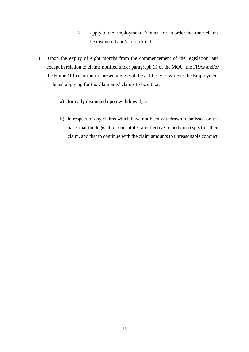- ii) apply to the Employment Tribunal for an order that their claims be dismissed and/or struck out.
- 8. Upon the expiry of eight months from the commencement of the legislation, and except in relation to claims notified under paragraph 15 of the MOU, the FRAs and/or the Home Office or their representatives will be at liberty to write to the Employment Tribunal applying for the Claimants' claims to be either:
	- a) formally dismissed upon withdrawal; or
	- b) in respect of any claims which have not been withdrawn, dismissed on the basis that the legislation constitutes an effective remedy in respect of their claim, and that to continue with the claim amounts to unreasonable conduct.